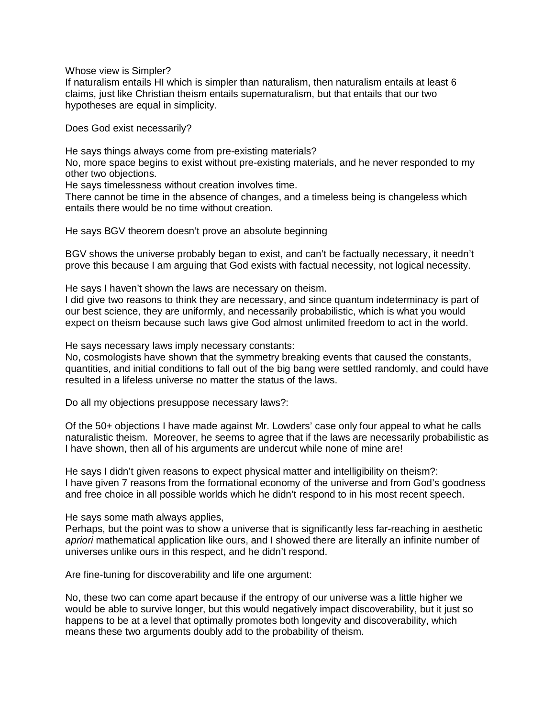Whose view is Simpler?

If naturalism entails HI which is simpler than naturalism, then naturalism entails at least 6 claims, just like Christian theism entails supernaturalism, but that entails that our two hypotheses are equal in simplicity.

Does God exist necessarily?

He says things always come from pre-existing materials?

No, more space begins to exist without pre-existing materials, and he never responded to my other two objections.

He says timelessness without creation involves time.

There cannot be time in the absence of changes, and a timeless being is changeless which entails there would be no time without creation.

He says BGV theorem doesn't prove an absolute beginning

BGV shows the universe probably began to exist, and can't be factually necessary, it needn't prove this because I am arguing that God exists with factual necessity, not logical necessity.

He says I haven't shown the laws are necessary on theism.

I did give two reasons to think they are necessary, and since quantum indeterminacy is part of our best science, they are uniformly, and necessarily probabilistic, which is what you would expect on theism because such laws give God almost unlimited freedom to act in the world.

He says necessary laws imply necessary constants:

No, cosmologists have shown that the symmetry breaking events that caused the constants, quantities, and initial conditions to fall out of the big bang were settled randomly, and could have resulted in a lifeless universe no matter the status of the laws.

Do all my objections presuppose necessary laws?:

Of the 50+ objections I have made against Mr. Lowders' case only four appeal to what he calls naturalistic theism. Moreover, he seems to agree that if the laws are necessarily probabilistic as I have shown, then all of his arguments are undercut while none of mine are!

He says I didn't given reasons to expect physical matter and intelligibility on theism?: I have given 7 reasons from the formational economy of the universe and from God's goodness and free choice in all possible worlds which he didn't respond to in his most recent speech.

He says some math always applies,

Perhaps, but the point was to show a universe that is significantly less far-reaching in aesthetic *apriori* mathematical application like ours, and I showed there are literally an infinite number of universes unlike ours in this respect, and he didn't respond.

Are fine-tuning for discoverability and life one argument:

No, these two can come apart because if the entropy of our universe was a little higher we would be able to survive longer, but this would negatively impact discoverability, but it just so happens to be at a level that optimally promotes both longevity and discoverability, which means these two arguments doubly add to the probability of theism.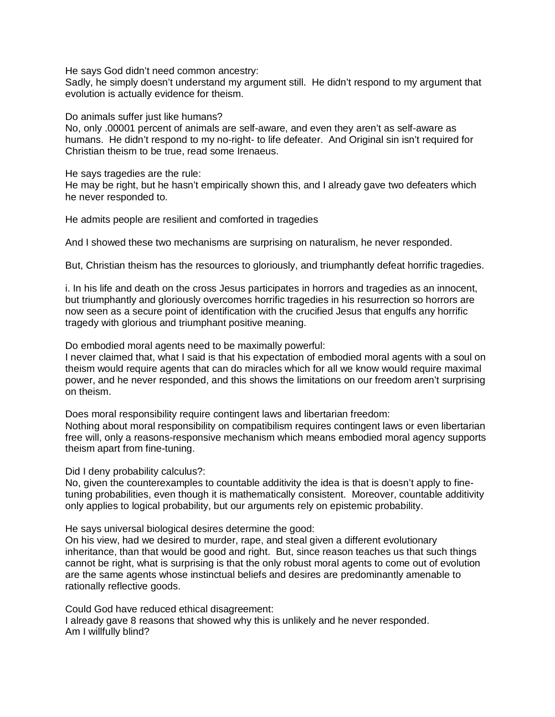He says God didn't need common ancestry:

Sadly, he simply doesn't understand my argument still. He didn't respond to my argument that evolution is actually evidence for theism.

Do animals suffer just like humans?

No, only .00001 percent of animals are self-aware, and even they aren't as self-aware as humans. He didn't respond to my no-right- to life defeater. And Original sin isn't required for Christian theism to be true, read some Irenaeus.

He says tragedies are the rule:

He may be right, but he hasn't empirically shown this, and I already gave two defeaters which he never responded to.

He admits people are resilient and comforted in tragedies

And I showed these two mechanisms are surprising on naturalism, he never responded.

But, Christian theism has the resources to gloriously, and triumphantly defeat horrific tragedies.

i. In his life and death on the cross Jesus participates in horrors and tragedies as an innocent, but triumphantly and gloriously overcomes horrific tragedies in his resurrection so horrors are now seen as a secure point of identification with the crucified Jesus that engulfs any horrific tragedy with glorious and triumphant positive meaning.

Do embodied moral agents need to be maximally powerful:

I never claimed that, what I said is that his expectation of embodied moral agents with a soul on theism would require agents that can do miracles which for all we know would require maximal power, and he never responded, and this shows the limitations on our freedom aren't surprising on theism.

Does moral responsibility require contingent laws and libertarian freedom:

Nothing about moral responsibility on compatibilism requires contingent laws or even libertarian free will, only a reasons-responsive mechanism which means embodied moral agency supports theism apart from fine-tuning.

Did I deny probability calculus?:

No, given the counterexamples to countable additivity the idea is that is doesn't apply to finetuning probabilities, even though it is mathematically consistent. Moreover, countable additivity only applies to logical probability, but our arguments rely on epistemic probability.

He says universal biological desires determine the good:

On his view, had we desired to murder, rape, and steal given a different evolutionary inheritance, than that would be good and right. But, since reason teaches us that such things cannot be right, what is surprising is that the only robust moral agents to come out of evolution are the same agents whose instinctual beliefs and desires are predominantly amenable to rationally reflective goods.

Could God have reduced ethical disagreement:

I already gave 8 reasons that showed why this is unlikely and he never responded. Am I willfully blind?